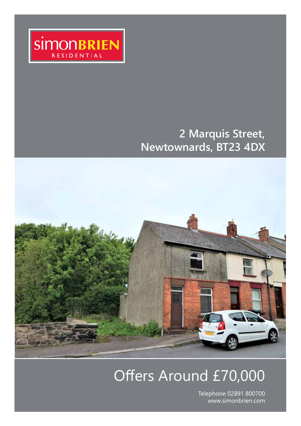

### **2 Marquis Street, Newtownards, BT23 4DX**



## Offers Around £70,000

Telephone 02891 800700 www.simonbrien.com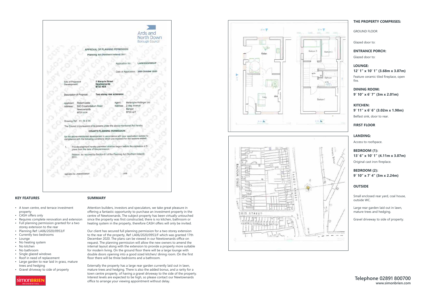

### **KEY FEATURES**

- A town centre, end terrace investment property
- CASH offers only
- Requires complete renovation and extension
- Full planning permission granted for a two
- storey extension to the rear • Planning Ref: LA06/2020/0953/F
- Currently two bedrooms
- Lounge
- No heating system
- No kitchen
- No bathroom
- Single glazed windows
- Roof in need of replacement
- Large garden to rear laid in grass, mature trees and hedging
- Gravel driveway to side of property



#### **SUMMARY**

Attention builders, investors and speculators, we take great pleasure in offering a fantastic opportunity to purchase an investment property in the centre of Newtownards. The subject property has been virtually untouched since the property was first constructed, there is no kitchen, bathroom or heating system in the property, therefore CASH offers will only be invited.

Our client has secured full planning permission for a two storey extension to the rear of the property, Ref: LA06/2020/0953/F which was granted 17th December 2020. The plans can be viewed in our Newtownards office on request. The planning permission will allow the new owners to amend the internal layout along with the extension to provide a property more suitable for modern living. On the ground floor there will be a large lounge with double doors opening into a good sized kitchen/ dining room. On the first floor there will be three bedrooms and a bathroom.

Externally the property has a large rear garden currently laid out in lawn, mature trees and hedging. There is also the added bonus, and a rarity for a town centre property, of having a gravel driveway to the side of the property. Interest levels are expected to be high, so please contact our Newtownards office to arrange your viewing appointment without delay.



### **THE PROPERTY COMPRISES:**

GROUND FLOOR

Glazed door to:

**ENTRANCE PORCH:**  Glazed door to:

**LOUNGE: 12' 1" x 10' 1" (3.68m x 3.07m)**  Feature ceramic tiled fireplace, open fire.

**DINING ROOM: 9' 10" x 6' 7" (3m x 2.01m)** 

**KITCHEN: 9' 11" x 6' 6" (3.02m x 1.98m)**  Belfast sink, door to rear.

**FIRST FLOOR**

**LANDING:**  Access to roofspace.

**BEDROOM (1): 13' 6" x 10' 1" (4.11m x 3.07m)**  Original cast iron fireplace.

**BEDROOM (2): 9' 10" x 7' 4" (3m x 2.24m)** 

### **OUTSIDE**

Small enclosed rear yard, coal house, outside WC.

Large rear garden laid out in lawn, mature trees and hedging.

Gravel driveway to side of property.